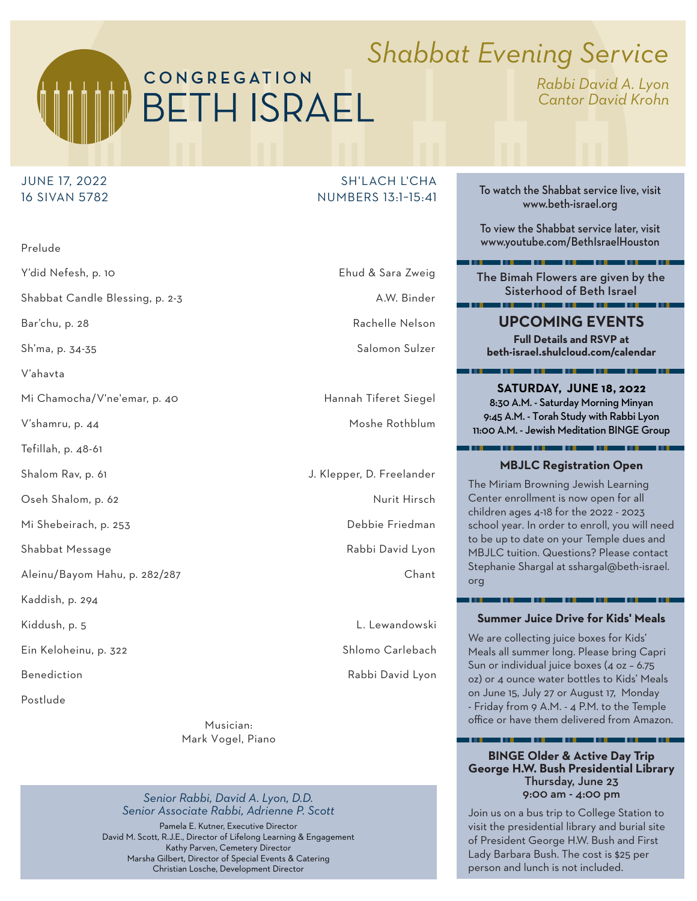# CONGREGATION **BETH ISRAEL**

# *Shabbat Evening Service*

*Rabbi David A. Lyon Cantor David Krohn*

# JUNE 17, 2022 16 SIVAN 5782

Prelude Y'did Nefesh, p. 10 Ehud & Sara Zweig Shabbat Candle Blessing, p. 2-3 A.W. Binder Bar'chu, p. 28 Rachelle Nelson and the Barichu, p. 28 Rachelle Nelson Sh'ma, p. 34-35 Salomon Sulzer V'ahavta Mi Chamocha/V'ne'emar, p. 40 Hannah Tiferet Siegel V'shamru, p. 44 Moshe Rothblum Tefillah, p. 48-61 Shalom Rav, p. 61 **J.** Klepper, D. Freelander Oseh Shalom, p. 62 Nurit Hirsch Nurit Hirsch Mi Shebeirach, p. 253 **Debbie Friedman** Shabbat Message **Rabbi David Lyon** Aleinu/Bayom Hahu, p. 282/287 Chant Kaddish, p. 294 Kiddush, p. 5 **L. Lewandowski** Ein Keloheinu, p. 322 Shlomo Carlebach

Postlude

Musician: Mark Vogel, Piano

*Senior Rabbi, David A. Lyon, D.D. Senior Associate Rabbi, Adrienne P. Scott*  Pamela E. Kutner, Executive Director David M. Scott, R.J.E., Director of Lifelong Learning & Engagement Kathy Parven, Cemetery Director

Marsha Gilbert, Director of Special Events & Catering Christian Losche, Development Director

SH'I ACH L'CHA NUMBERS 13:1−15:41

Benediction **Benediction Benediction** 

To watch the Shabbat service live, visit www.beth-israel.org

To view the Shabbat service later, visit www.youtube.com/BethIsraelHouston

a sa mga sanggunian ng P

The Bimah Flowers are given by the Sisterhood of Beth Israel

**UPCOMING EVENTS**

**Full Details and RSVP at beth-israel.shulcloud.com/calendar**

**SATURDAY, JUNE 18, 2022**  8:30 A.M. - Saturday Morning Minyan 9:45 A.M. - Torah Study with Rabbi Lyon 11:00 A.M. - Jewish Meditation BINGE Group

## **MBJLC Registration Open**

The Miriam Browning Jewish Learning Center enrollment is now open for all children ages 4-18 for the 2022 - 2023 school year. In order to enroll, you will need to be up to date on your Temple dues and MBJLC tuition. Questions? Please contact Stephanie Shargal at sshargal@beth-israel. org

#### **Summer Juice Drive for Kids' Meals**

a ang

We are collecting juice boxes for Kids' Meals all summer long. Please bring Capri Sun or individual juice boxes (4 oz – 6.75 oz) or 4 ounce water bottles to Kids' Meals on June 15, July 27 or August 17, Monday - Friday from 9 A.M. - 4 P.M. to the Temple office or have them delivered from Amazon.

#### **BINGE Older & Active Day Trip George H.W. Bush Presidential Library** Thursday, June 23 9:00 am - 4:00 pm

Join us on a bus trip to College Station to visit the presidential library and burial site of President George H.W. Bush and First Lady Barbara Bush. The cost is \$25 per person and lunch is not included.